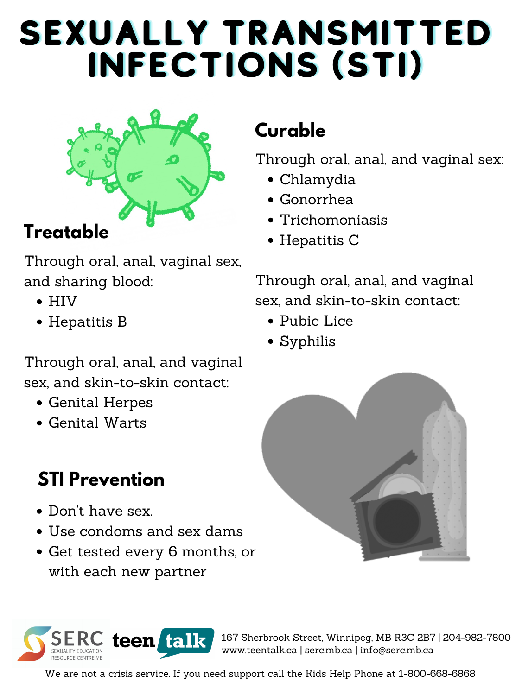- Pubic Lice
- Syphilis

Through oral, anal, and vaginal sex:

- Chlamydia
- Gonorrhea
- Trichomoniasis
- Hepatitis C

Through oral, anal, and vaginal sex, and skin-to-skin contact:

## **Curable**

- Genital Herpes
- Genital Warts

Through oral, anal, vaginal sex, and sharing blood:

- HIV
- Hepatitis B

Through oral, anal, and vaginal sex, and skin-to-skin contact:

# SEXUALLY TRANSMITTED INFECTIONS (STI)



#### **Treatable**

- Don 't have sex.
- Use condoms and sex dams
- Get tested every 6 months, or with each new partner





## **STI Prevention**

167 Sherbrook Street, Winnipeg, MB R3C 2B7 | 204-982-7800 www.teentalk.ca | serc.mb.ca | info@serc.mb.ca

We are not a crisis service. If you need support call the Kids Help Phone at 1-800-668-6868